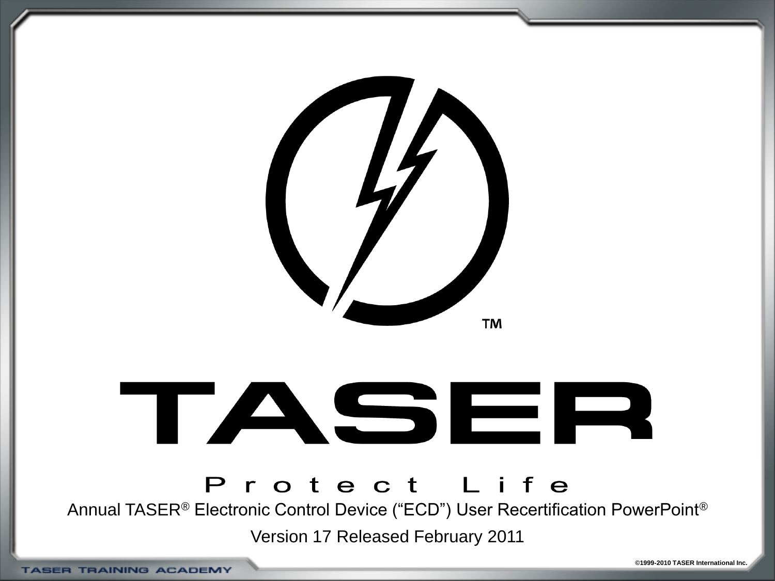



#### Protect Life

Annual TASER® Electronic Control Device ("ECD") User Recertification PowerPoint®

Version 17 Released February 2011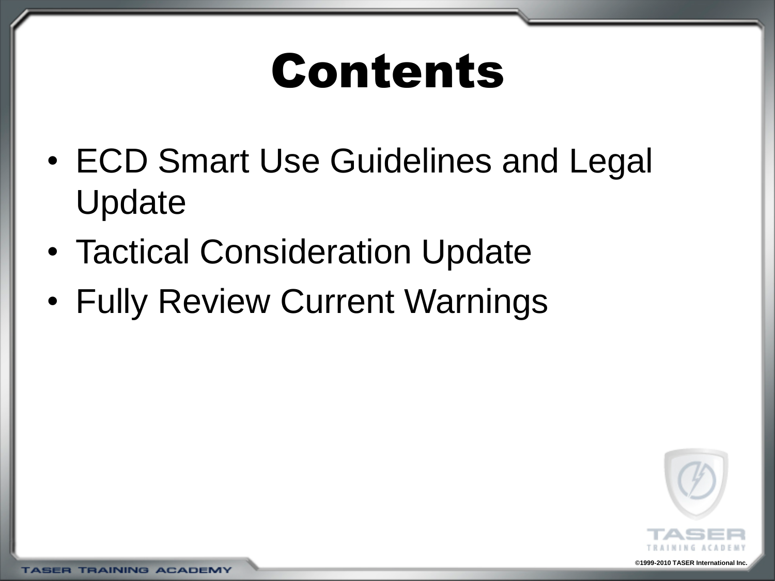### Contents

- ECD Smart Use Guidelines and Legal Update
- Tactical Consideration Update
- Fully Review Current Warnings



**TASER TRAINING ACADEMY**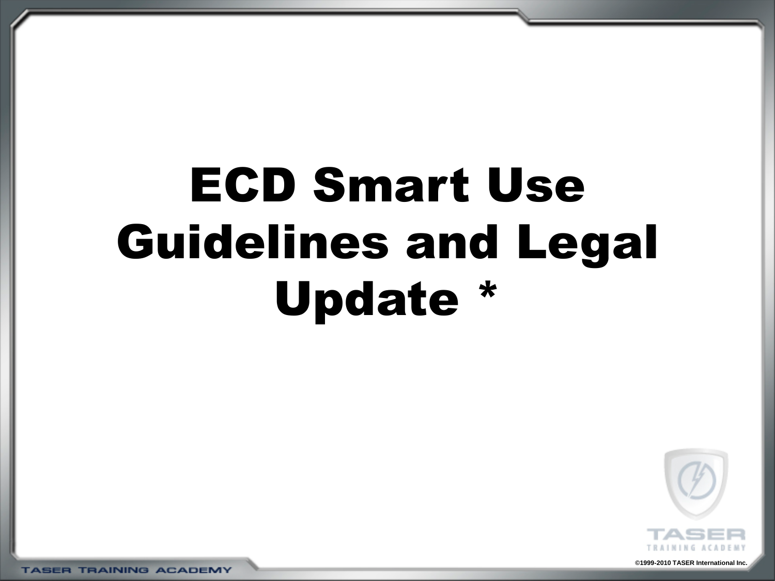# ECD Smart Use Guidelines and Legal Update \*



**©1999-2010 TASER International Inc.**

**TASER TRAINING ACADEMY**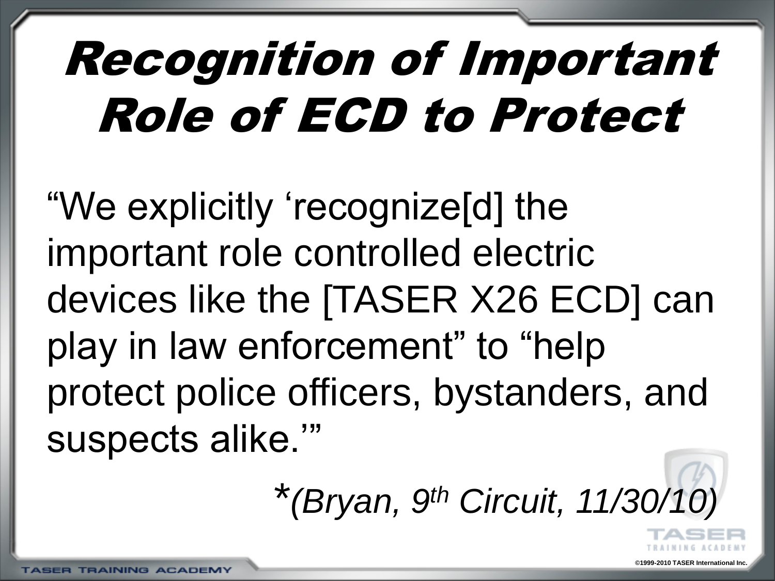# Recognition of Important Role of ECD to Protect

"We explicitly 'recognize[d] the important role controlled electric devices like the [TASER X26 ECD] can play in law enforcement" to "help protect police officers, bystanders, and suspects alike."

\**(Bryan, 9th Circuit, 11/30/10)*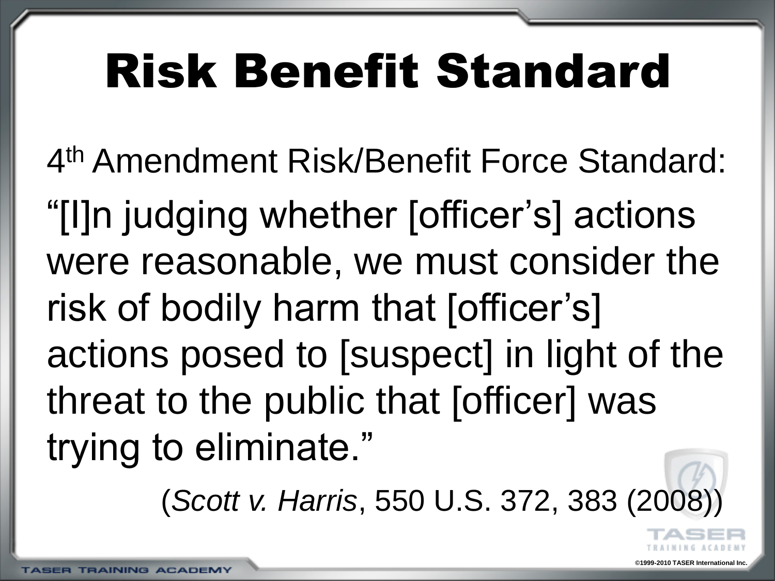### Risk Benefit Standard

4 th Amendment Risk/Benefit Force Standard: ―[I]n judging whether [officer's] actions were reasonable, we must consider the risk of bodily harm that [officer's] actions posed to [suspect] in light of the threat to the public that [officer] was trying to eliminate."

(Scott v. Harris, 550 U.S. 372, 383 (200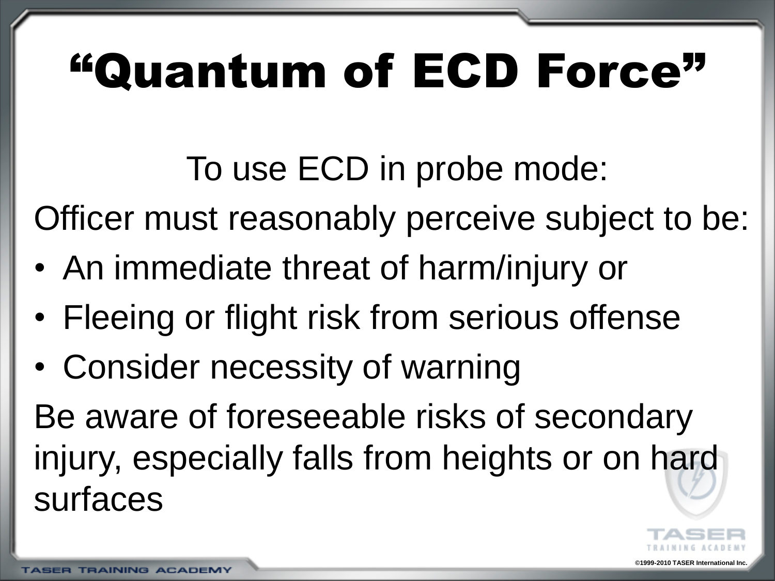# "Quantum of ECD Force"

To use ECD in probe mode:

Officer must reasonably perceive subject to be:

- An immediate threat of harm/injury or
- Fleeing or flight risk from serious offense
- Consider necessity of warning

Be aware of foreseeable risks of secondary injury, especially falls from heights or on hard surfaces

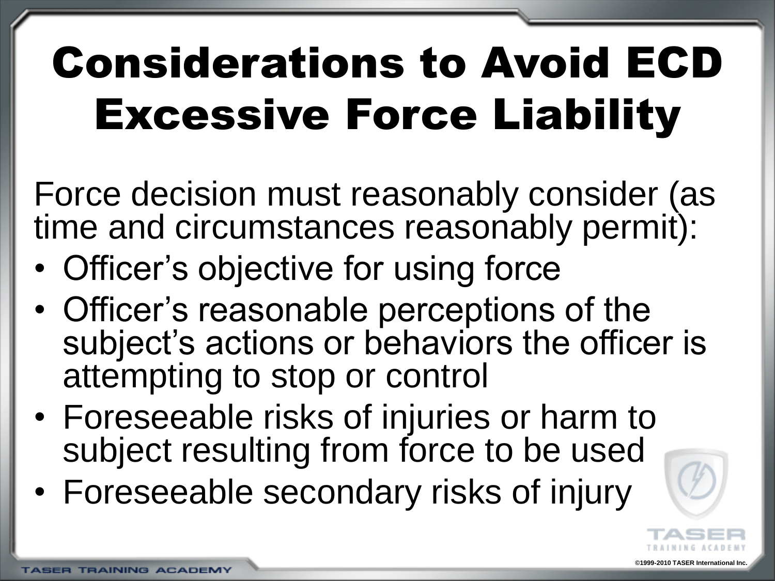Force decision must reasonably consider (as time and circumstances reasonably permit):

- Officer's objective for using force
- Officer's reasonable perceptions of the subject's actions or behaviors the officer is attempting to stop or control
- Foreseeable risks of injuries or harm to subject resulting from force to be used
- Foreseeable secondary risks of injury



**©1999-2010 TASER International Inc.**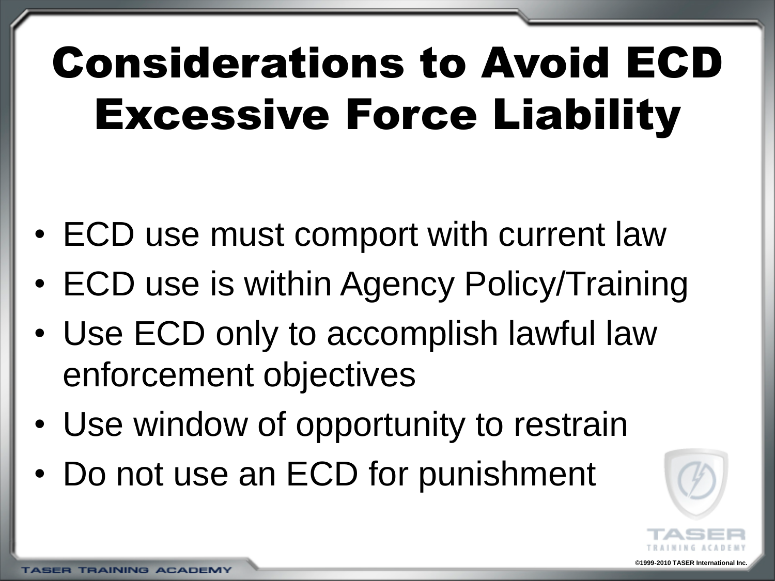- ECD use must comport with current law
- ECD use is within Agency Policy/Training
- Use ECD only to accomplish lawful law enforcement objectives
- Use window of opportunity to restrain
- Do not use an ECD for punishment

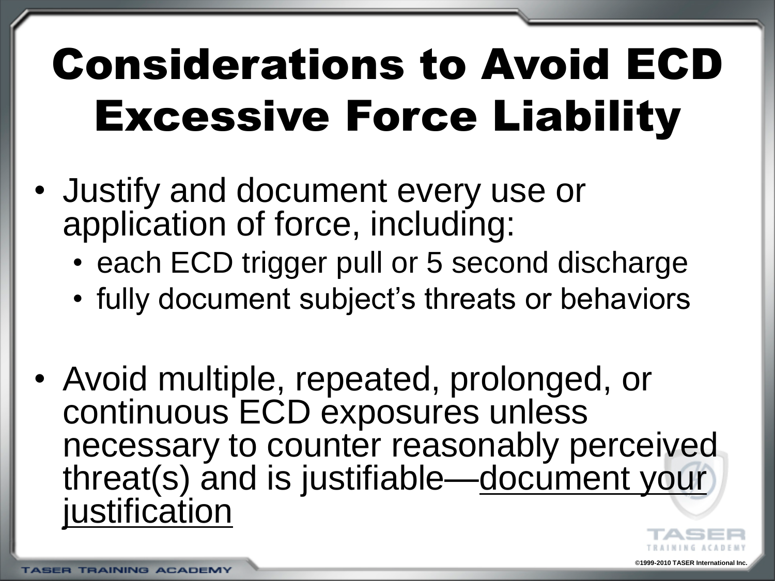- Justify and document every use or application of force, including:
	- each ECD trigger pull or 5 second discharge
	- fully document subject's threats or behaviors
- Avoid multiple, repeated, prolonged, or continuous ECD exposures unless necessary to counter reasonably perceived threat(s) and is justifiable—document your justification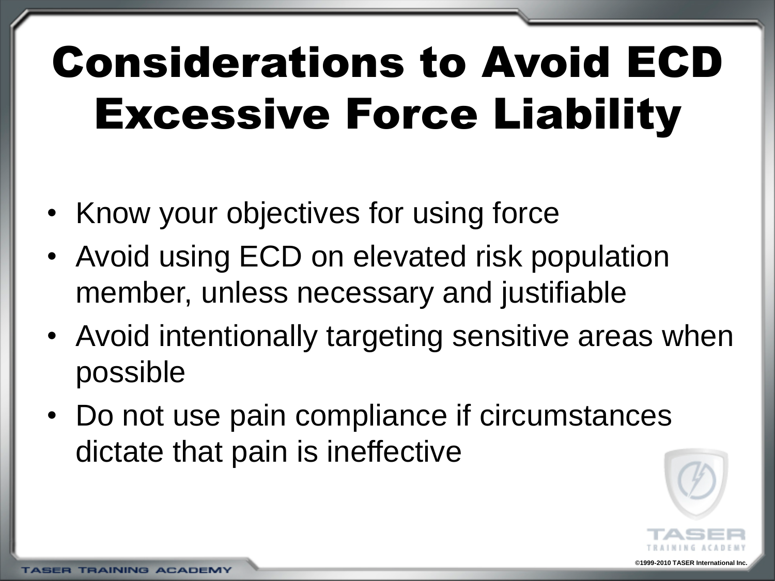- Know your objectives for using force
- Avoid using ECD on elevated risk population member, unless necessary and justifiable
- Avoid intentionally targeting sensitive areas when possible
- Do not use pain compliance if circumstances dictate that pain is ineffective



**©1999-2010 TASER International Inc.**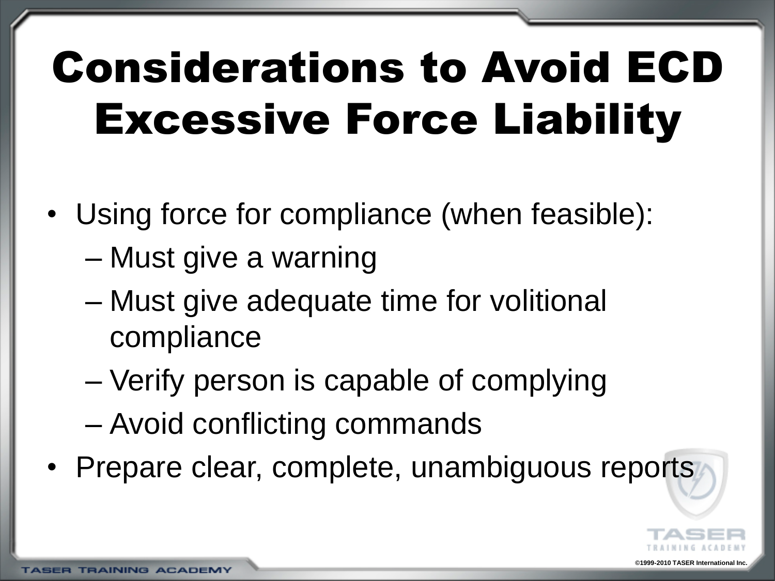- Using force for compliance (when feasible):
	- Must give a warning
	- Must give adequate time for volitional compliance
	- Verify person is capable of complying
	- Avoid conflicting commands
- Prepare clear, complete, unambiguous reports



**09-2010 TASER International I**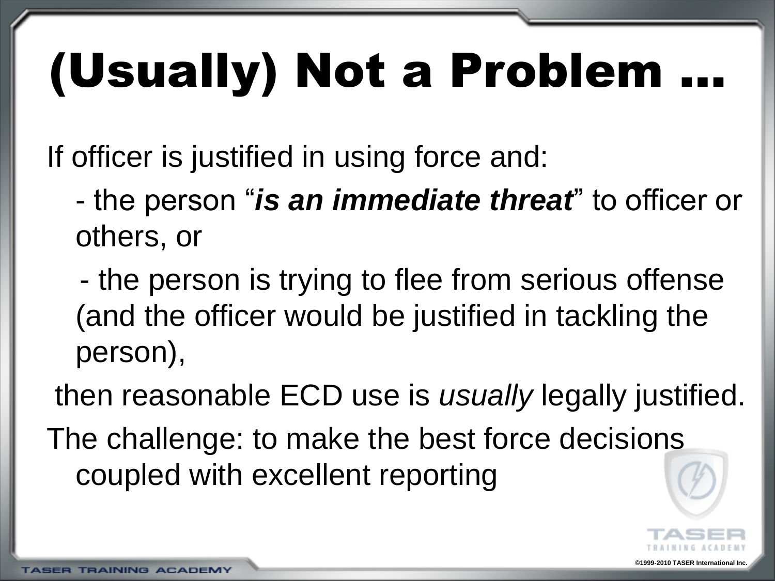# (Usually) Not a Problem

If officer is justified in using force and:

- the person "*is an immediate threat*" to officer or others, or

- the person is trying to flee from serious offense (and the officer would be justified in tackling the person),

then reasonable ECD use is *usually* legally justified. The challenge: to make the best force decisions coupled with excellent reporting

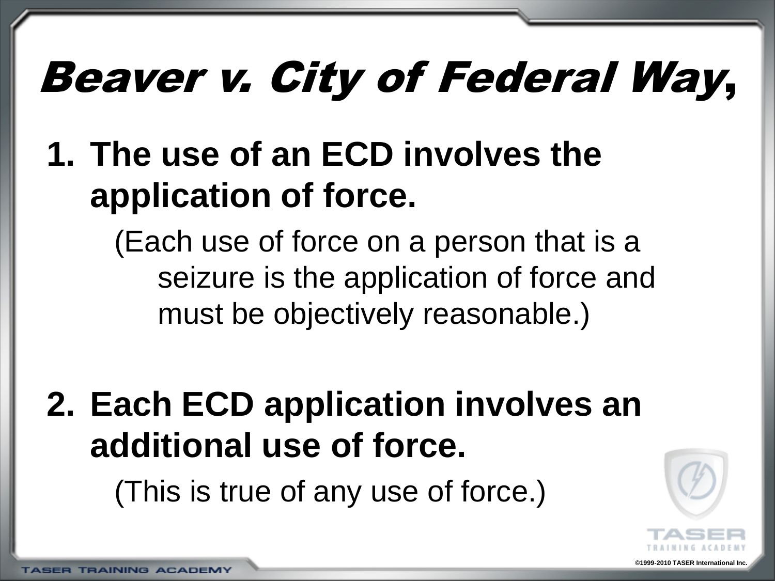### Beaver v. City of Federal Way,

#### **1. The use of an ECD involves the application of force.**

(Each use of force on a person that is a seizure is the application of force and must be objectively reasonable.)

#### **2. Each ECD application involves an additional use of force.**

(This is true of any use of force.)

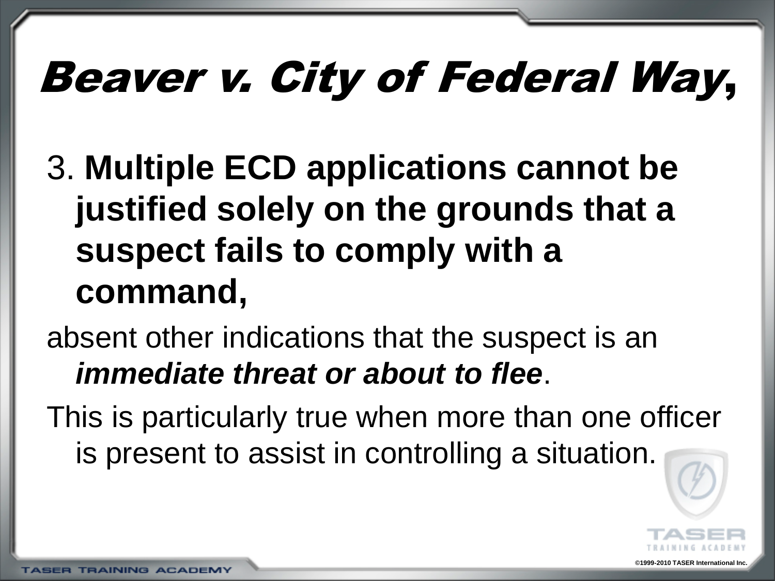## Beaver v. City of Federal Way,

3. **Multiple ECD applications cannot be justified solely on the grounds that a suspect fails to comply with a command,**

#### absent other indications that the suspect is an *immediate threat or about to flee*.

This is particularly true when more than one officer is present to assist in controlling a situation.



**©1999-2010 TASER International Inc.**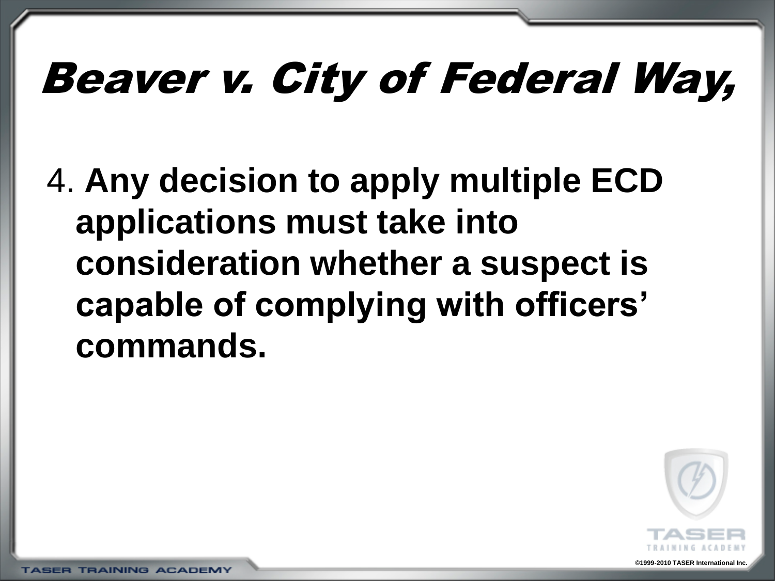### Beaver v. City of Federal Way,

4. **Any decision to apply multiple ECD applications must take into consideration whether a suspect is capable of complying with officers' commands.**



**©1999-2010 TASER International Inc.**

**TASER TRAINING ACADEMY**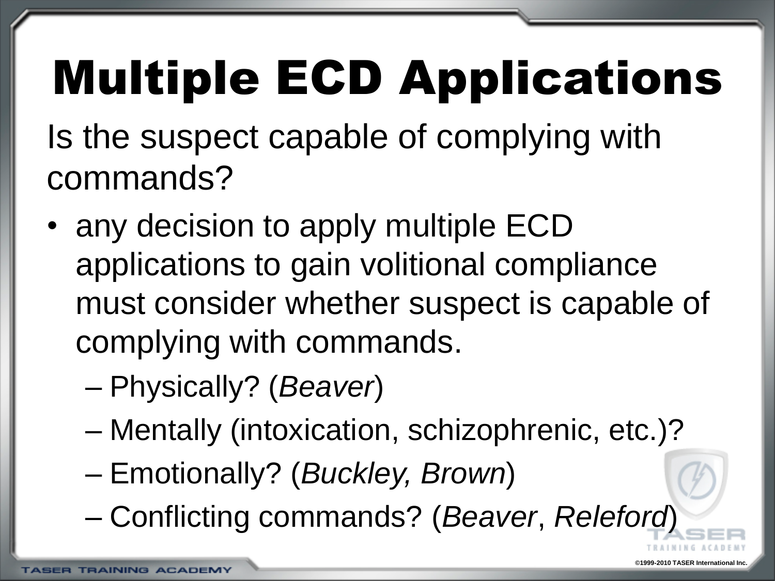# Multiple ECD Applications

Is the suspect capable of complying with commands?

- any decision to apply multiple ECD applications to gain volitional compliance must consider whether suspect is capable of complying with commands.
	- Physically? (*Beaver*)
	- Mentally (intoxication, schizophrenic, etc.)?
	- Emotionally? (*Buckley, Brown*)
	- Conflicting commands? (*Beaver*, *Releford*)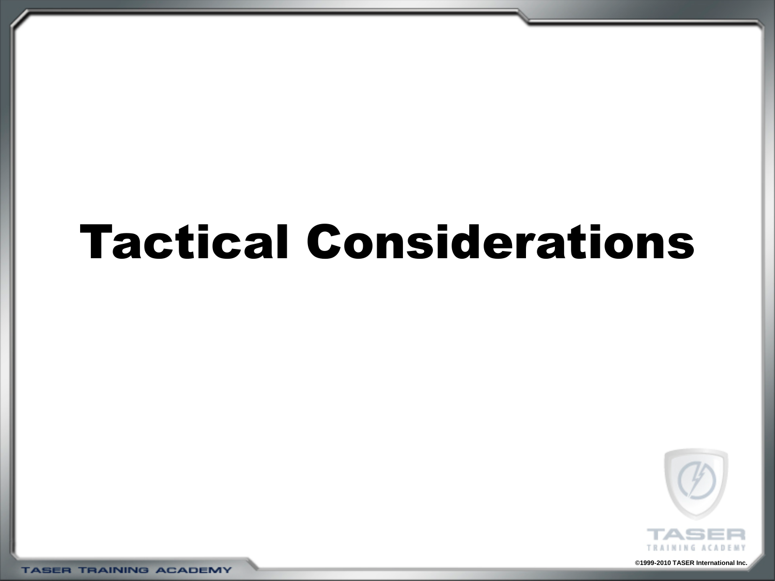#### Tactical Considerations



**©1999-2010 TASER International Inc.**

**TASER TRAINING ACADEMY**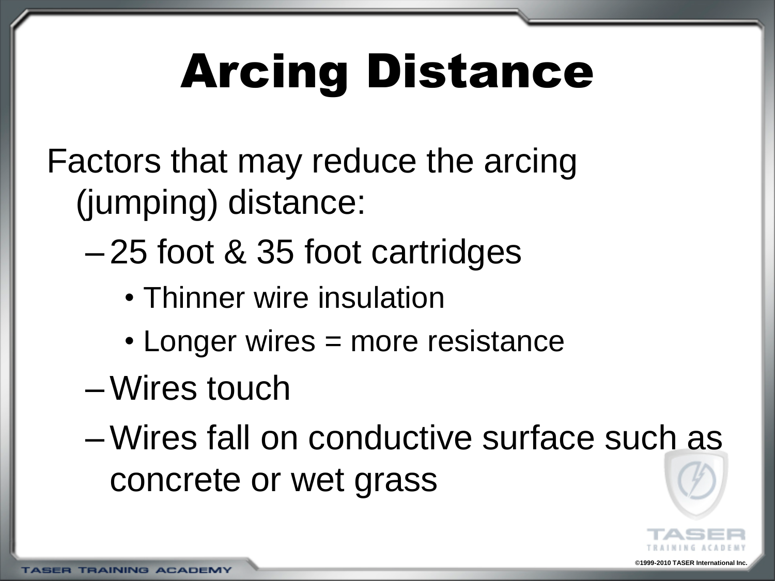# Arcing Distance

Factors that may reduce the arcing (jumping) distance:

- 25 foot & 35 foot cartridges
	- Thinner wire insulation
	- Longer wires = more resistance
- –Wires touch
- –Wires fall on conductive surface such as concrete or wet grass

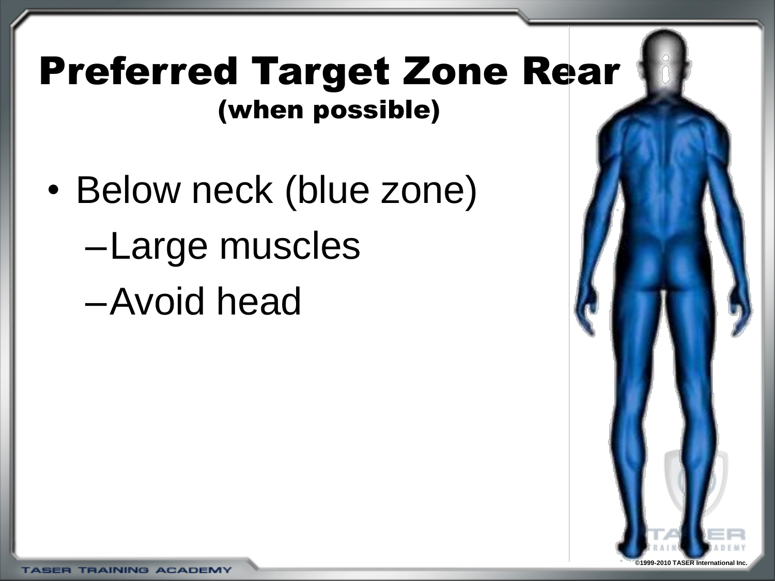#### Preferred Target Zone Rear (when possible)

• Below neck (blue zone) –Large muscles –Avoid head

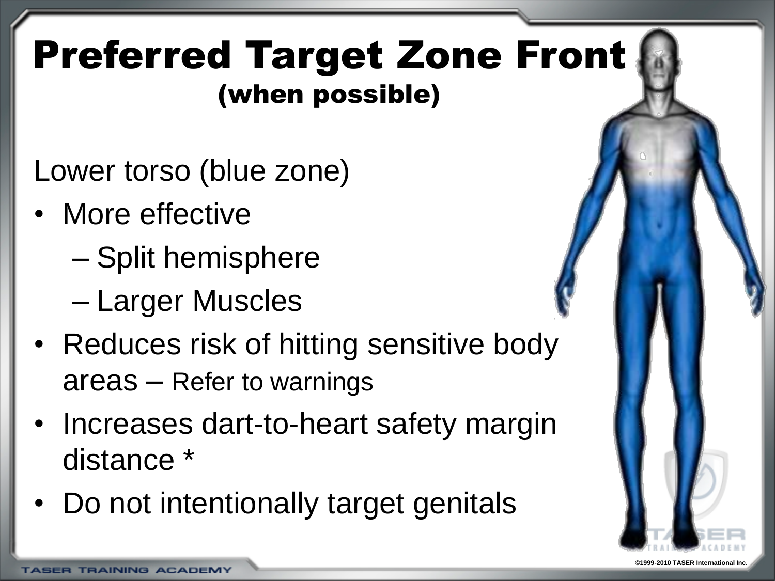#### Preferred Target Zone Front (when possible)

Lower torso (blue zone)

- More effective
	- Split hemisphere
	- Larger Muscles
- Reduces risk of hitting sensitive body areas – Refer to warnings
- Increases dart-to-heart safety margin distance \*
- Do not intentionally target genitals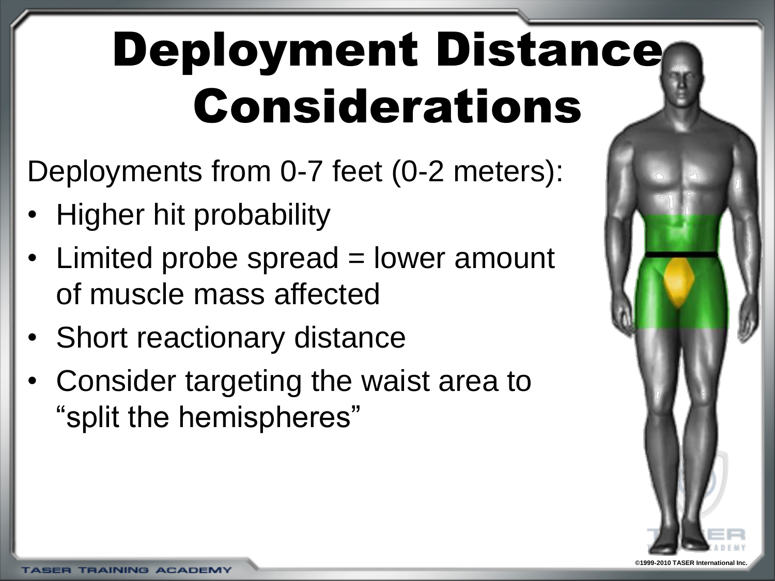# Deployment Distance Considerations

Deployments from 0-7 feet (0-2 meters):

- Higher hit probability
- Limited probe spread = lower amount of muscle mass affected
- Short reactionary distance
- Consider targeting the waist area to "split the hemispheres"

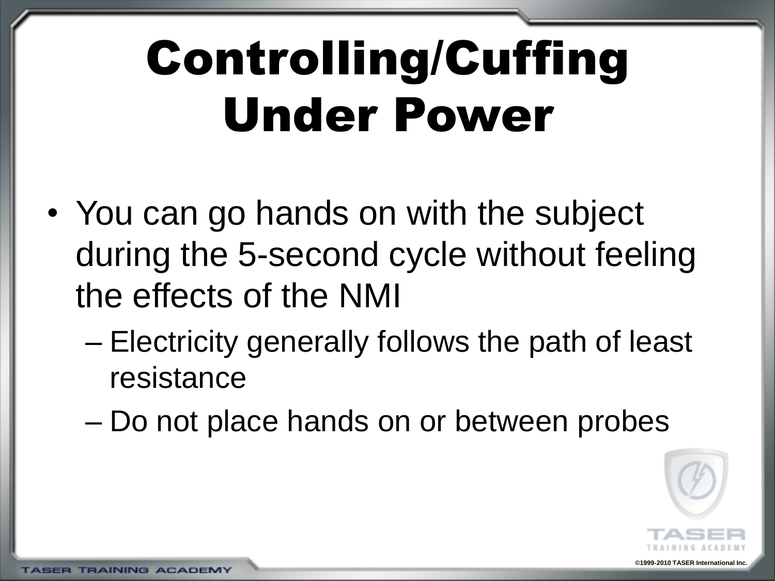# Controlling/Cuffing Under Power

- You can go hands on with the subject during the 5-second cycle without feeling the effects of the NMI
	- Electricity generally follows the path of least resistance
	- Do not place hands on or between probes

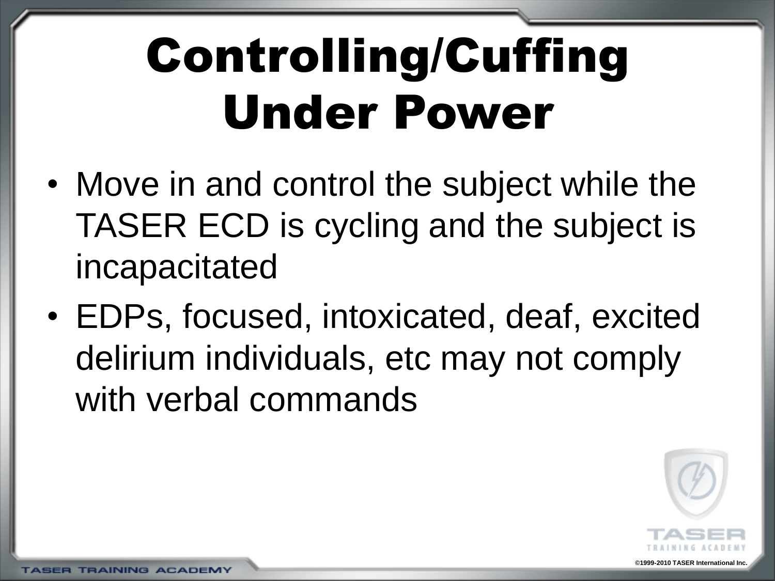# Controlling/Cuffing Under Power

- Move in and control the subject while the TASER ECD is cycling and the subject is incapacitated
- EDPs, focused, intoxicated, deaf, excited delirium individuals, etc may not comply with verbal commands

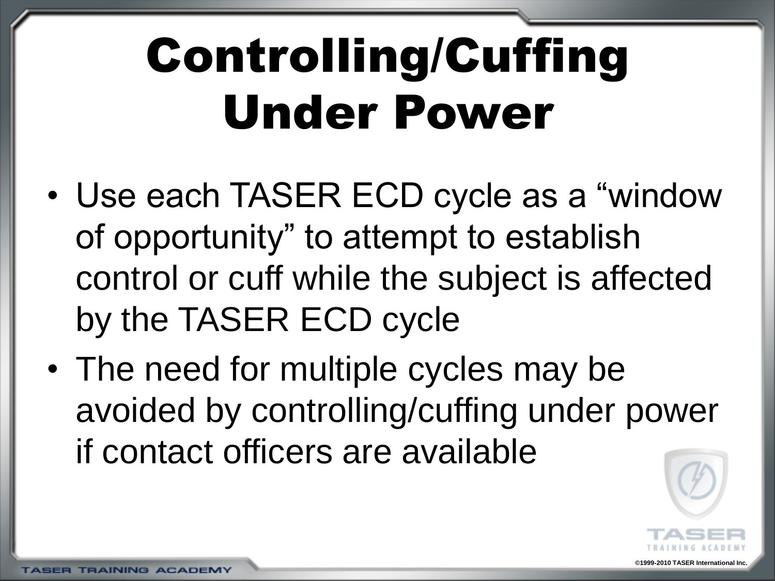# Controlling/Cuffing Under Power

- Use each TASER ECD cycle as a "window of opportunity" to attempt to establish control or cuff while the subject is affected by the TASER ECD cycle
- The need for multiple cycles may be avoided by controlling/cuffing under power if contact officers are available

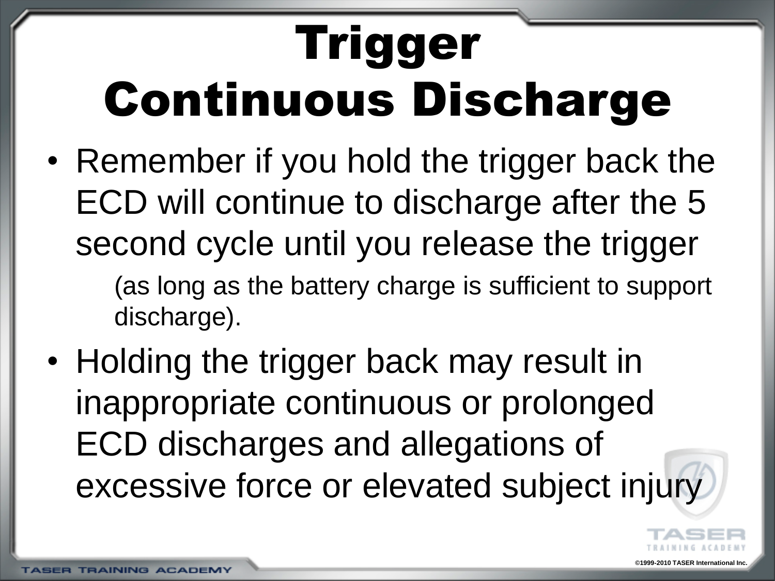# Trigger Continuous Discharge

• Remember if you hold the trigger back the ECD will continue to discharge after the 5 second cycle until you release the trigger (as long as the battery charge is sufficient to support

discharge).

• Holding the trigger back may result in inappropriate continuous or prolonged ECD discharges and allegations of excessive force or elevated subject injury

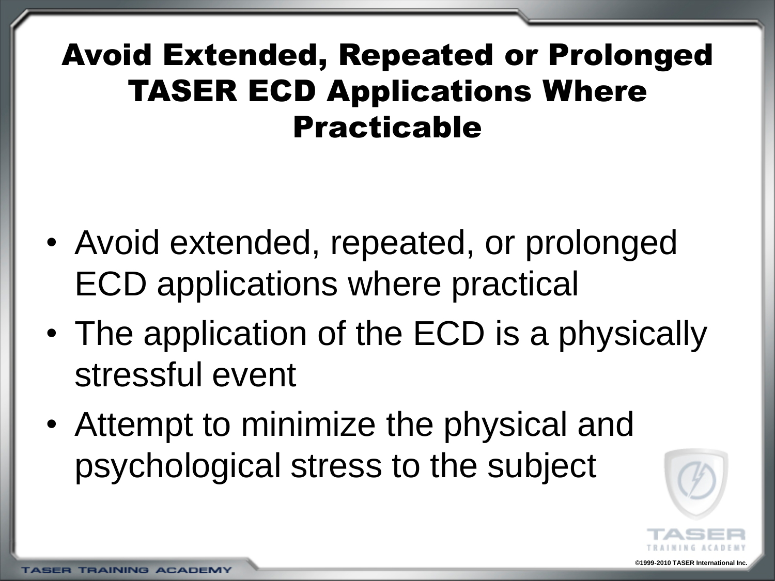#### Avoid Extended, Repeated or Prolonged TASER ECD Applications Where Practicable

- Avoid extended, repeated, or prolonged ECD applications where practical
- The application of the ECD is a physically stressful event
- Attempt to minimize the physical and psychological stress to the subject

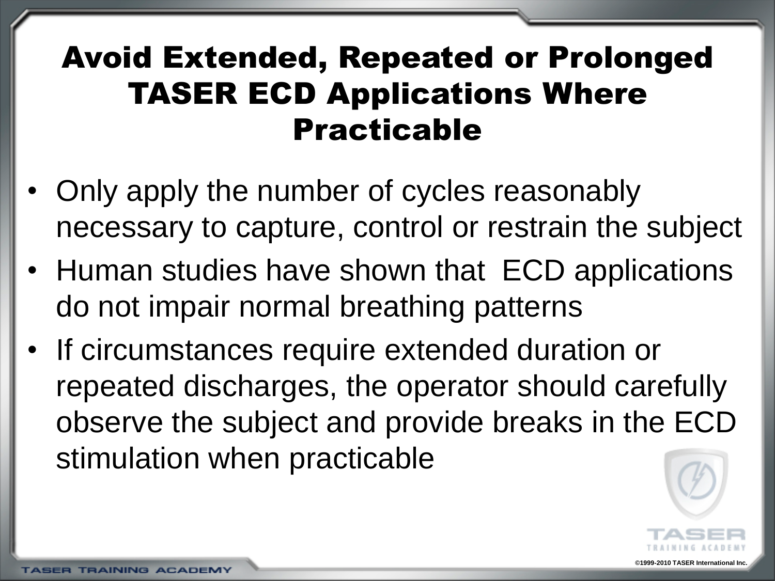#### Avoid Extended, Repeated or Prolonged TASER ECD Applications Where Practicable

- Only apply the number of cycles reasonably necessary to capture, control or restrain the subject
- Human studies have shown that ECD applications do not impair normal breathing patterns
- If circumstances require extended duration or repeated discharges, the operator should carefully observe the subject and provide breaks in the ECD stimulation when practicable

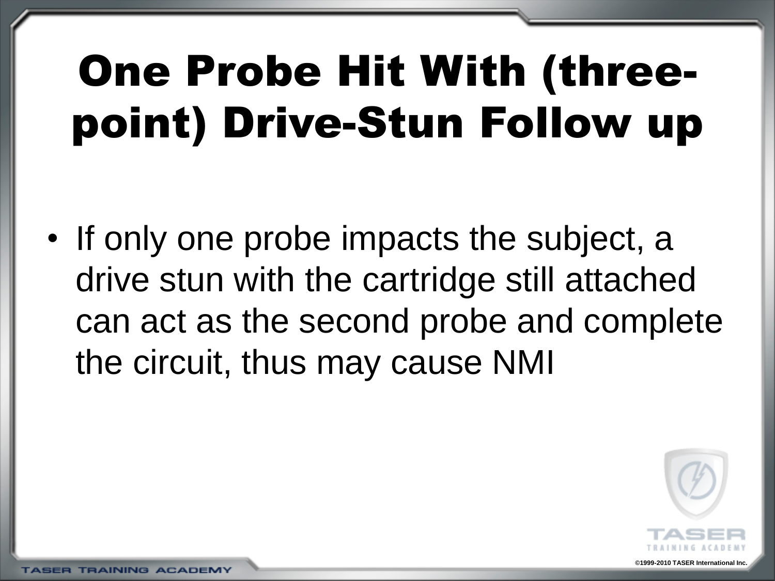### One Probe Hit With (threepoint) Drive-Stun Follow up

• If only one probe impacts the subject, a drive stun with the cartridge still attached can act as the second probe and complete the circuit, thus may cause NMI



**©1999-2010 TASER International Inc.**

**TRAINING ACADEMY**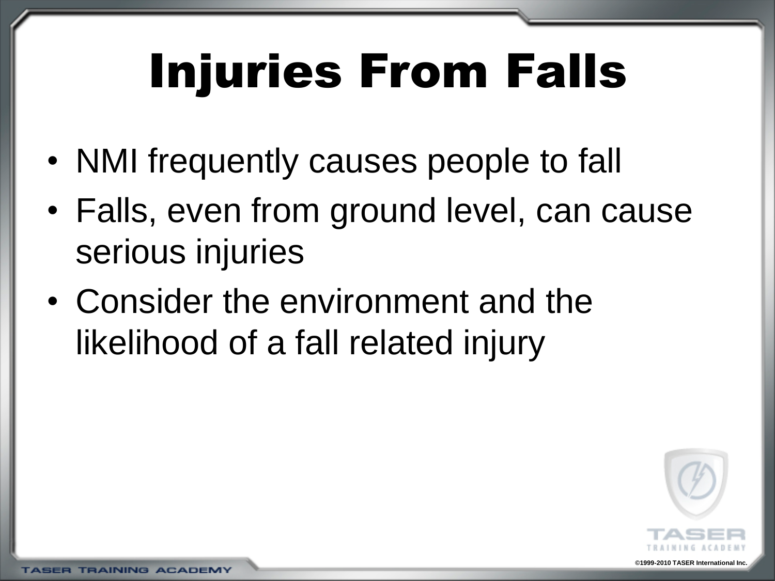# Injuries From Falls

- NMI frequently causes people to fall
- Falls, even from ground level, can cause serious injuries
- Consider the environment and the likelihood of a fall related injury



**TRAINING ACADEMY**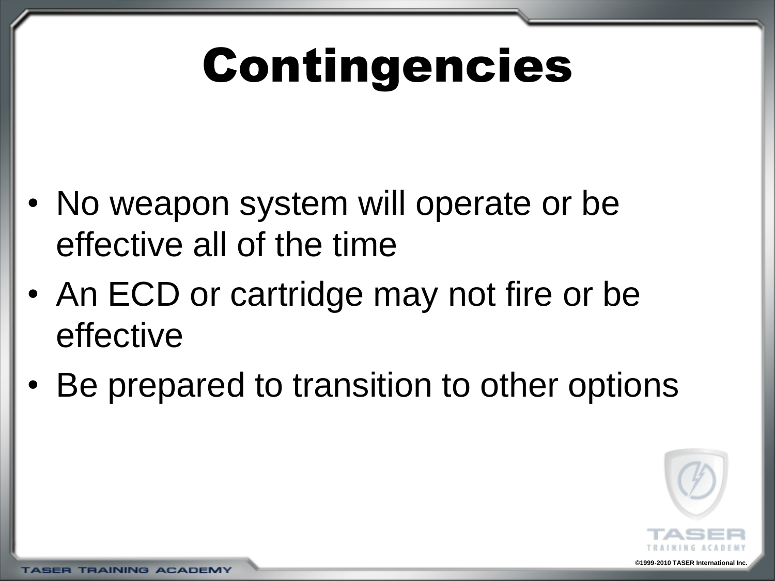# Contingencies

- No weapon system will operate or be effective all of the time
- An ECD or cartridge may not fire or be effective
- Be prepared to transition to other options